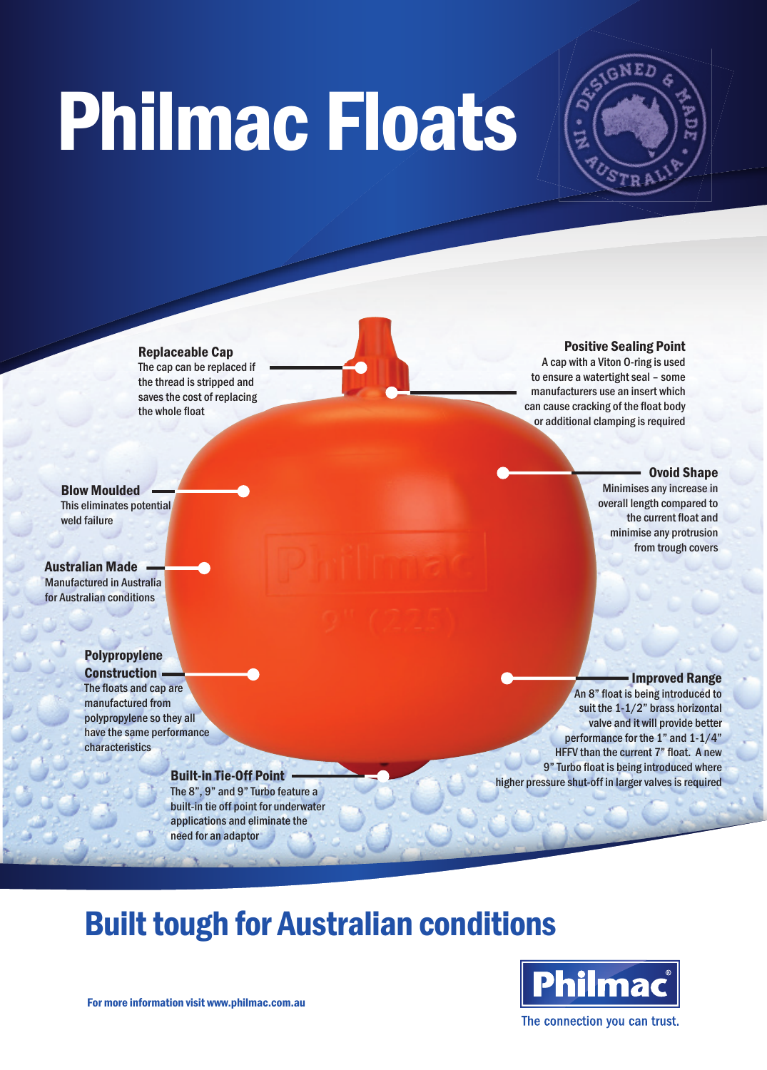# Philmac Floats



## Replaceable Cap

The cap can be replaced if the thread is stripped and saves the cost of replacing the whole float

#### Positive Sealing Point

A cap with a Viton O-ring is used to ensure a watertight seal – some manufacturers use an insert which can cause cracking of the float body or additional clamping is required

#### Ovoid Shape

Minimises any increase in overall length compared to the current float and minimise any protrusion from trough covers

This eliminates potential weld failure

Blow Moulded

### Australian Made

Manufactured in Australia for Australian conditions

## Polypropylene

Construction . The floats and cap are manufactured from polypropylene so they all have the same performance characteristics

## Built-in Tie-Off Point

The 8", 9" and 9" Turbo feature a built-in tie off point for underwater applications and eliminate the need for an adaptor

#### Improved Range

An 8" float is being introduced to suit the 1-1/2" brass horizontal valve and it will provide better performance for the 1" and 1-1/4" HFFV than the current 7" float. A new 9" Turbo float is being introduced where higher pressure shut-off in larger valves is required

# Built tough for Australian conditions



For more information visit www.philmac.com.au